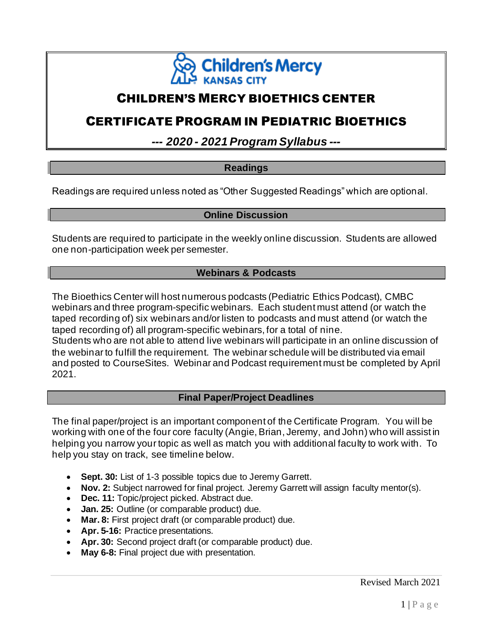

# CHILDREN'S MERCY BIOETHICS CENTER

# CERTIFICATE PROGRAM IN PEDIATRIC BIOETHICS

*--- 2020 - 2021 Program Syllabus ---*

### **Readings**

Readings are required unless noted as "Other Suggested Readings" which are optional.

### **Online Discussion**

Students are required to participate in the weekly online discussion. Students are allowed one non-participation week per semester.

### **Webinars & Podcasts**

The Bioethics Center will host numerous podcasts (Pediatric Ethics Podcast), CMBC webinars and three program-specific webinars. Each student must attend (or watch the taped recording of) six webinars and/or listen to podcasts and must attend (or watch the taped recording of) all program-specific webinars, for a total of nine. Students who are not able to attend live webinars will participate in an online discussion of the webinar to fulfill the requirement. The webinar schedule will be distributed via email and posted to CourseSites. Webinar and Podcast requirement must be completed by April 2021.

### **Final Paper/Project Deadlines**

The final paper/project is an important component of the Certificate Program. You will be working with one of the four core faculty (Angie, Brian, Jeremy, and John) who will assist in helping you narrow your topic as well as match you with additional faculty to work with. To help you stay on track, see timeline below.

- **Sept. 30:** List of 1-3 possible topics due to Jeremy Garrett.
- **Nov. 2:** Subject narrowed for final project. Jeremy Garrett will assign faculty mentor(s).
- **Dec. 11:** Topic/project picked. Abstract due.
- **Jan. 25:** Outline (or comparable product) due.
- **Mar. 8:** First project draft (or comparable product) due.
- **Apr. 5-16:** Practice presentations.
- **Apr. 30:** Second project draft (or comparable product) due.
- **May 6-8:** Final project due with presentation.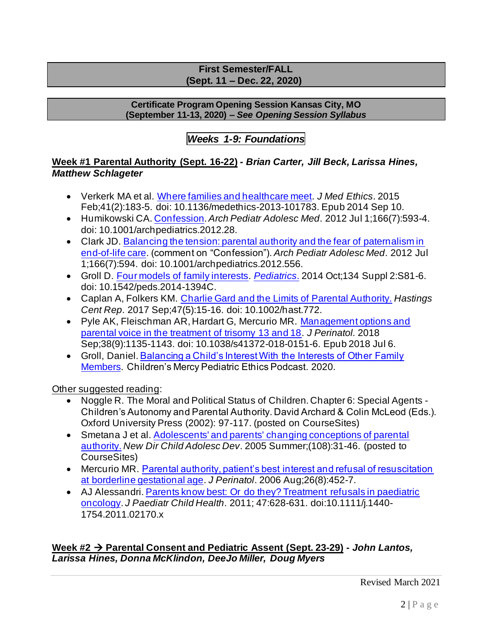### **First Semester/FALL (Sept. 11 – Dec. 22, 2020)**

#### **Certificate Program Opening Session Kansas City, MO (September 11-13, 2020) –** *See Opening Session Syllabus*

# *Weeks 1-9: Foundations*

## **Week #1 Parental Authority (Sept. 16-22)** *- Brian Carter, Jill Beck, Larissa Hines, Matthew Schlageter*

- Verkerk MA et al. Where families and healthcare meet. *J Med Ethics*. 2015 Feb;41(2):183-5. doi: 10.1136/medethics-2013-101783. Epub 2014 Sep 10.
- Humikowski CA. Confession. *Arch Pediatr Adolesc Med*. 2012 Jul 1;166(7):593-4. doi: 10.1001/archpediatrics.2012.28.
- Clark JD. Balancing the tension: parental authority and the fear of paternalism in end-of-life care. (comment on "Confession"). *Arch Pediatr Adolesc Med*. 2012 Jul 1;166(7):594. doi: 10.1001/archpediatrics.2012.556.
- Groll D. Four models of family interests. *Pediatrics*. 2014 Oct;134 Suppl 2:S81-6. doi: 10.1542/peds.2014-1394C.
- Caplan A, Folkers KM. Charlie Gard and the Limits of Parental Authority. *Hastings Cent Rep*. 2017 Sep;47(5):15-16. doi: 10.1002/hast.772.
- Pyle AK, Fleischman AR, Hardart G, Mercurio MR. Management options and parental voice in the treatment of trisomy 13 and 18. *J Perinatol.* 2018 Sep;38(9):1135-1143. doi: 10.1038/s41372-018-0151-6. Epub 2018 Jul 6.
- Groll, Daniel. Balancing a Child's Interest With the Interests of Other Family Members. Children's Mercy Pediatric Ethics Podcast. 2020.

Other suggested reading:

- Noggle R. The Moral and Political Status of Children. Chapter 6: Special Agents Children's Autonomy and Parental Authority. David Archard & Colin McLeod (Eds.). Oxford University Press (2002): 97-117. (posted on CourseSites)
- Smetana J et al. Adolescents' and parents' changing conceptions of parental authority. *New Dir Child Adolesc Dev*. 2005 Summer;(108):31-46. (posted to CourseSites)
- Mercurio MR. Parental authority, patient's best interest and refusal of resuscitation at borderline gestational age. *J Perinatol*. 2006 Aug;26(8):452-7.
- AJ Alessandri. Parents know best: Or do they? Treatment refusals in paediatric oncology. *J Paediatr Child Health*. 2011; 47:628-631. doi:10.1111/j.1440- 1754.2011.02170.x

**Week #2** → **Parental Consent and Pediatric Assent (Sept. 23-29) -** *John Lantos, Larissa Hines, Donna McKlindon, DeeJo Miller, Doug Myers*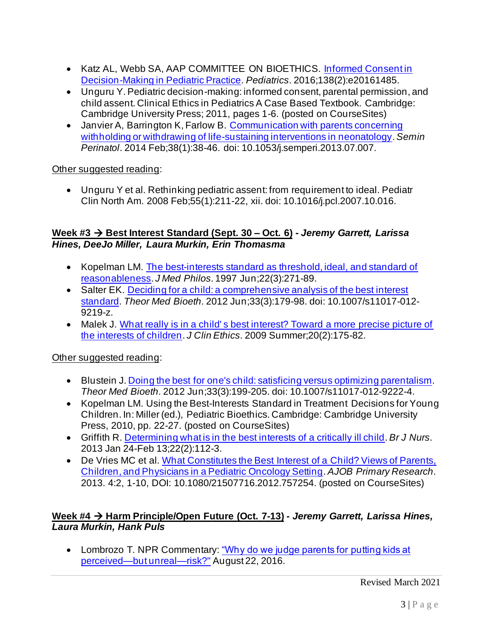- Katz AL, Webb SA, AAP COMMITTEE ON BIOETHICS. Informed Consentin Decision-Making in Pediatric Practice. *Pediatrics*. 2016;138(2):e20161485.
- Unguru Y. Pediatric decision-making: informed consent, parental permission, and child assent. Clinical Ethics in Pediatrics A Case Based Textbook. Cambridge: Cambridge University Press; 2011, pages 1-6. (posted on CourseSites)
- Janvier A, Barrington K, Farlow B. Communication with parents concerning withholding or withdrawing of life-sustaining interventions in neonatology. *Semin Perinatol*. 2014 Feb;38(1):38-46. doi: 10.1053/j.semperi.2013.07.007.

## Other suggested reading:

• Unguru Y et al. Rethinking pediatric assent: from requirement to ideal. Pediatr Clin North Am. 2008 Feb;55(1):211-22, xii. doi: 10.1016/j.pcl.2007.10.016.

## **Week #3** → **Best Interest Standard (Sept. 30 – Oct. 6) -** *Jeremy Garrett, Larissa Hines, DeeJo Miller, Laura Murkin, Erin Thomasma*

- Kopelman LM. The best-interests standard as threshold, ideal, and standard of reasonableness. *J Med Philos*. 1997 Jun;22(3):271-89.
- Salter EK. Deciding for a child: a comprehensive analysis of the best interest standard. *Theor Med Bioeth*. 2012 Jun;33(3):179-98. doi: 10.1007/s11017-012- 9219-z.
- Malek J. What really is in a child's best interest? Toward a more precise picture of the interests of children. *J Clin Ethics*. 2009 Summer;20(2):175-82.

Other suggested reading:

- Blustein J. Doing the best for one's child: satisficing versus optimizing parentalism. *Theor Med Bioeth*. 2012 Jun;33(3):199-205. doi: 10.1007/s11017-012-9222-4.
- Kopelman LM. Using the Best-Interests Standard in Treatment Decisions for Young Children. In: Miller (ed.), Pediatric Bioethics. Cambridge: Cambridge University Press, 2010, pp. 22-27. (posted on CourseSites)
- Griffith R. Determining what is in the best interests of a critically ill child. *Br J Nurs*. 2013 Jan 24-Feb 13;22(2):112-3.
- De Vries MC et al. What Constitutes the Best Interest of a Child? Views of Parents, Children, and Physicians in a Pediatric Oncology Setting. *AJOB Primary Research*. 2013. 4:2, 1-10, DOI: 10.1080/21507716.2012.757254. (posted on CourseSites)

## **Week #4** → **Harm Principle/Open Future (Oct. 7-13)** *- Jeremy Garrett, Larissa Hines, Laura Murkin, Hank Puls*

• Lombrozo T. NPR Commentary: "Why do we judge parents for putting kids at perceived—but unreal—risk?" August 22, 2016.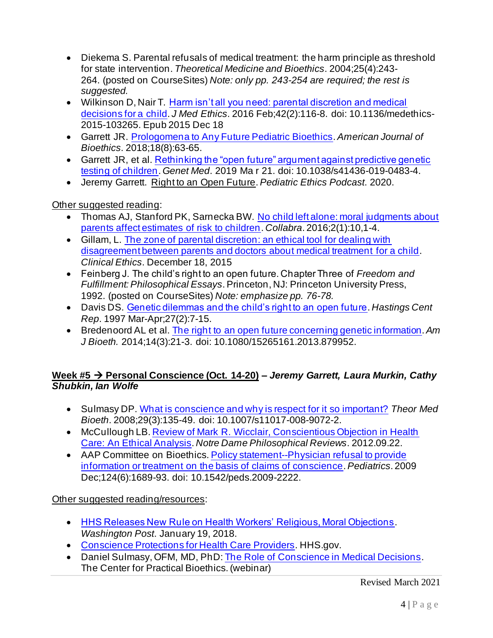- Diekema S. Parental refusals of medical treatment: the harm principle as threshold for state intervention. *Theoretical Medicine and Bioethics*. 2004;25(4):243- 264. (posted on CourseSites) *Note: only pp. 243-254 are required; the rest is suggested.*
- Wilkinson D, Nair T. Harm isn't all you need: parental discretion and medical decisions for a child. *J Med Ethics*. 2016 Feb;42(2):116-8. doi: 10.1136/medethics-2015-103265. Epub 2015 Dec 18
- Garrett JR. Prologomena to Any Future Pediatric Bioethics. *American Journal of Bioethics*. 2018;18(8):63-65.
- Garrett JR, et al. Rethinking the "open future" argument against predictive genetic testing of children. *Genet Med*. 2019 Ma r 21. doi: 10.1038/s41436-019-0483-4.
- Jeremy Garrett. Right to an Open Future. *Pediatric Ethics Podcast*. 2020.

Other suggested reading:

- Thomas AJ, Stanford PK, Sarnecka BW. No child left alone: moral judgments about parents affect estimates of risk to children. *Collabra*. 2016;2(1):10,1-4.
- Gillam, L. The zone of parental discretion: an ethical tool for dealing with disagreement between parents and doctors about medical treatment for a child. *Clinical Ethics*. December 18, 2015
- Feinberg J. The child's right to an open future. Chapter Three of *Freedom and Fulfillment: Philosophical Essays*. Princeton, NJ: Princeton University Press, 1992. (posted on CourseSites) *Note: emphasize pp. 76-78.*
- Davis DS. Genetic dilemmas and the child's right to an open future. *Hastings Cent Rep*. 1997 Mar-Apr;27(2):7-15.
- Bredenoord AL et al. The right to an open future concerning genetic information.*Am J Bioeth.* 2014;14(3):21-3. doi: 10.1080/15265161.2013.879952.

## **Week #5** → **Personal Conscience (Oct. 14-20) –** *Jeremy Garrett, Laura Murkin, Cathy Shubkin, Ian Wolfe*

- Sulmasy DP. What is conscience and why is respect for it so important? *Theor Med Bioeth*. 2008;29(3):135-49. doi: 10.1007/s11017-008-9072-2.
- McCullough LB. Review of Mark R. Wicclair, Conscientious Objection in Health Care: An Ethical Analysis. *Notre Dame Philosophical Reviews*. 2012.09.22.
- AAP Committee on Bioethics. Policy statement--Physician refusal to provide information or treatment on the basis of claims of conscience. *Pediatrics*. 2009 Dec;124(6):1689-93. doi: 10.1542/peds.2009-2222.

Other suggested reading/resources:

- HHS Releases New Rule on Health Workers' Religious, Moral Objections. *Washington Post*. January 19, 2018.
- Conscience Protections for Health Care Providers. HHS.gov.
- Daniel Sulmasy, OFM, MD, PhD: The Role of Conscience in Medical Decisions. The Center for Practical Bioethics. (webinar)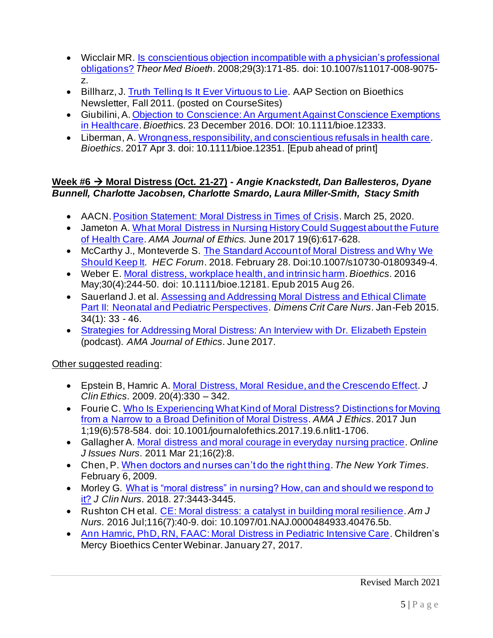- Wicclair MR. Is conscientious objection incompatible with a physician's professional obligations? *Theor Med Bioeth*. 2008;29(3):171-85. doi: 10.1007/s11017-008-9075 z.
- Billharz, J. Truth Telling Is It Ever Virtuous to Lie. AAP Section on Bioethics Newsletter, Fall 2011. (posted on CourseSites)
- Giubilini, A. Objection to Conscience: An Argument Against Conscience Exemptions in Healthcare. *Bioeth*ics. 23 December 2016. DOI: 10.1111/bioe.12333.
- Liberman, A. Wrongness, responsibility, and conscientious refusals in health care. *Bioethics*. 2017 Apr 3. doi: 10.1111/bioe.12351. [Epub ahead of print]

## **Week #6** → **Moral Distress (Oct. 21-27) -** *Angie Knackstedt, Dan Ballesteros, Dyane Bunnell, Charlotte Jacobsen, Charlotte Smardo, Laura Miller-Smith, Stacy Smith*

- AACN. Position Statement: Moral Distress in Times of Crisis. March 25, 2020.
- Jameton A. What Moral Distress in Nursing History Could Suggest about the Future of Health Care. *AMA Journal of Ethics.* June 2017 19(6):617-628.
- McCarthy J., Monteverde S. The Standard Account of Moral Distress and Why We Should Keep It. *HEC Forum*. 2018. February 28. Doi:10.1007/s10730-01809349-4.
- Weber E. Moral distress, workplace health, and intrinsic harm. *Bioethics*. 2016 May;30(4):244-50. doi: 10.1111/bioe.12181. Epub 2015 Aug 26.
- Sauerland J. et al. Assessing and Addressing Moral Distress and Ethical Climate Part II: Neonatal and Pediatric Perspectives. *Dimens Crit Care Nurs*. Jan-Feb 2015. 34(1): 33 - 46.
- Strategies for Addressing Moral Distress: An Interview with Dr. Elizabeth Epstein (podcast). *AMA Journal of Ethics*. June 2017.

- Epstein B, Hamric A. Moral Distress, Moral Residue, and the Crescendo Effect. *J Clin Ethics*. 2009. 20(4):330 – 342.
- Fourie C. Who Is Experiencing What Kind of Moral Distress? Distinctions for Moving from a Narrow to a Broad Definition of Moral Distress. *AMA J Ethics*. 2017 Jun 1;19(6):578-584. doi: 10.1001/journalofethics.2017.19.6.nlit1-1706.
- Gallagher A. Moral distress and moral courage in everyday nursing practice. *Online J Issues Nurs*. 2011 Mar 21;16(2):8.
- Chen, P. When doctors and nurses can't do the right thing. *The New York Times*. February 6, 2009.
- Morley G. What is "moral distress" in nursing? How, can and should we respond to it? *J Clin Nurs*. 2018. 27:3443-3445.
- Rushton CH et al. CE: Moral distress: a catalyst in building moral resilience. *Am J Nurs*. 2016 Jul;116(7):40-9. doi: 10.1097/01.NAJ.0000484933.40476.5b.
- Ann Hamric, PhD, RN, FAAC: Moral Distress in Pediatric Intensive Care. Children's Mercy Bioethics Center Webinar. January 27, 2017.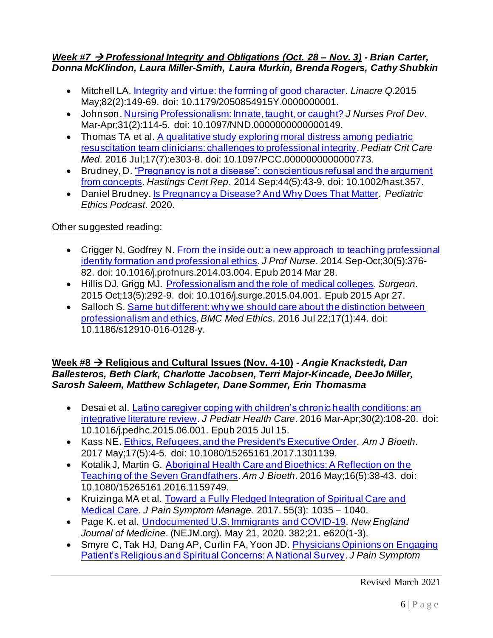### *Week #7* → *Professional Integrity and Obligations (Oct. 28 – Nov. 3) - Brian Carter, Donna McKlindon, Laura Miller-Smith, Laura Murkin, Brenda Rogers, Cathy Shubkin*

- Mitchell LA. Integrity and virtue: the forming of good character. *Linacre Q*.2015 May;82(2):149-69. doi: 10.1179/2050854915Y.0000000001.
- Johnson. Nursing Professionalism: Innate, taught, or caught? *J Nurses Prof Dev*. Mar-Apr;31(2):114-5. doi: 10.1097/NND.0000000000000149.
- Thomas TA et al. A qualitative study exploring moral distress among pediatric resuscitation team clinicians: challenges to professional integrity. *Pediatr Crit Care Med*. 2016 Jul;17(7):e303-8. doi: 10.1097/PCC.0000000000000773.
- Brudney, D. "Pregnancy is not a disease": conscientious refusal and the argument from concepts. *Hastings Cent Rep*. 2014 Sep;44(5):43-9. doi: 10.1002/hast.357.
- Daniel Brudney. Is Pregnancy a Disease? And Why Does That Matter. *Pediatric Ethics Podcast*. 2020.

## Other suggested reading:

- Crigger N, Godfrey N, From the inside out: a new approach to teaching professional identity formation and professional ethics. *J Prof Nurse*. 2014 Sep-Oct;30(5):376- 82. doi: 10.1016/j.profnurs.2014.03.004. Epub 2014 Mar 28.
- Hillis DJ, Grigg MJ. Professionalism and the role of medical colleges. *Surgeon*. 2015 Oct;13(5):292-9. doi: 10.1016/j.surge.2015.04.001. Epub 2015 Apr 27.
- Salloch S. Same but different: why we should care about the distinction between professionalism and ethics. *BMC Med Ethics*. 2016 Jul 22;17(1):44. doi: 10.1186/s12910-016-0128-y.

## **Week #8** → **Religious and Cultural Issues (Nov. 4-10) -** *Angie Knackstedt, Dan Ballesteros, Beth Clark, Charlotte Jacobsen, Terri Major-Kincade, DeeJo Miller, Sarosh Saleem, Matthew Schlageter, Dane Sommer, Erin Thomasma*

- Desai et al. Latino caregiver coping with children's chronic health conditions: an integrative literature review. *J Pediatr Health Care*. 2016 Mar-Apr;30(2):108-20. doi: 10.1016/j.pedhc.2015.06.001. Epub 2015 Jul 15.
- Kass NE. Ethics, Refugees, and the President's Executive Order. *Am J Bioeth*. 2017 May;17(5):4-5. doi: 10.1080/15265161.2017.1301139.
- Kotalik J, Martin G. Aboriginal Health Care and Bioethics: A Reflection on the Teaching of the Seven Grandfathers. *Am J Bioeth*. 2016 May;16(5):38-43. doi: 10.1080/15265161.2016.1159749.
- Kruizinga MA et al. Toward a Fully Fledged Integration of Spiritual Care and Medical Care. *J Pain Symptom Manage.* 2017. 55(3): 1035 – 1040.
- Page K. et al. Undocumented U.S. Immigrants and COVID-19. *New England Journal of Medicine*. (NEJM.org). May 21, 2020. 382;21. e620(1-3).
- Smyre C, Tak HJ, Dang AP, Curlin FA, Yoon JD. Physicians Opinions on Engaging Patient's Religious and Spiritual Concerns: A National Survey. *J Pain Symptom*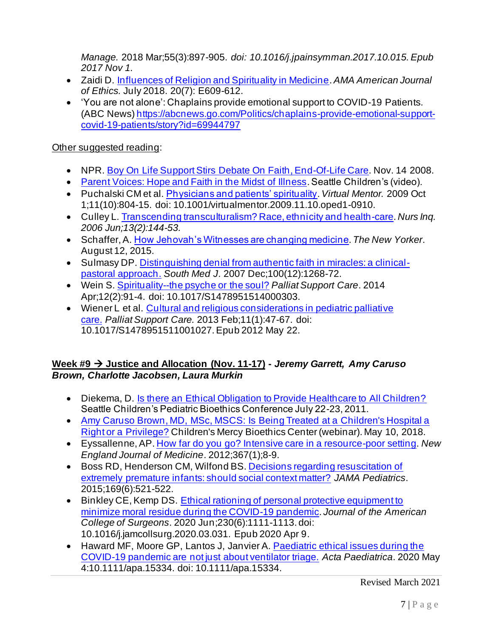*Manage.* 2018 Mar;55(3):897-905. *doi: 10.1016/j.jpainsymman.2017.10.015. Epub 2017 Nov 1.*

- Zaidi D. Influences of Religion and Spirituality in Medicine. *AMA American Journal of Ethics.* July 2018. 20(7): E609-612.
- 'You are not alone': Chaplains provide emotional support to COVID-19 Patients. (ABC News) https://abcnews.go.com/Politics/chaplains-provide-emotional-supportcovid-19-patients/story?id=69944797

## Other suggested reading:

- NPR. Boy On Life Support Stirs Debate On Faith, End-Of-Life Care. Nov. 14 2008.
- Parent Voices: Hope and Faith in the Midst of Illness. Seattle Children's (video).
- Puchalski CM et al. Physicians and patients' spirituality.*Virtual Mentor.* 2009 Oct 1;11(10):804-15. doi: 10.1001/virtualmentor.2009.11.10.oped1-0910.
- Culley L. Transcending transculturalism? Race, ethnicity and health-care. *Nurs Inq. 2006 Jun;13(2):144-53.*
- Schaffer, A. How Jehovah's Witnesses are changing medicine. *The New Yorker*. August 12, 2015.
- Sulmasy DP. Distinguishing denial from authentic faith in miracles: a clinicalpastoral approach. *South Med J*. 2007 Dec;100(12):1268-72.
- Wein S. Spirituality--the psyche or the soul? *Palliat Support Care*. 2014 Apr;12(2):91-4. doi: 10.1017/S1478951514000303.
- Wiener L et al. Cultural and religious considerations in pediatric palliative care. *Palliat Support Care.* 2013 Feb;11(1):47-67. doi: 10.1017/S1478951511001027. Epub 2012 May 22.

## **Week #9** → **Justice and Allocation (Nov. 11-17) -** *Jeremy Garrett, Amy Caruso Brown, Charlotte Jacobsen, Laura Murkin*

- Diekema, D. Is there an Ethical Obligation to Provide Healthcare to All Children? Seattle Children's Pediatric Bioethics Conference July 22-23, 2011.
- Amy Caruso Brown, MD, MSc, MSCS: Is Being Treated at a Children's Hospital a Right or a Privilege? Children's Mercy Bioethics Center (webinar). May 10, 2018.
- Eyssallenne, AP. How far do you go? Intensive care in a resource-poor setting. *New England Journal of Medicine*. 2012;367(1);8-9.
- Boss RD, Henderson CM, Wilfond BS. Decisions regarding resuscitation of extremely premature infants: should social context matter? *JAMA Pediatrics*. 2015;169(6):521-522.
- Binkley CE, Kemp DS. Ethical rationing of personal protective equipment to minimize moral residue during the COVID-19 pandemic. *Journal of the American College of Surgeons*. 2020 Jun;230(6):1111-1113. doi: 10.1016/j.jamcollsurg.2020.03.031. Epub 2020 Apr 9.
- Haward MF, Moore GP, Lantos J, Janvier A. Paediatric ethical issues during the COVID-19 pandemic are not just about ventilator triage. *Acta Paediatrica*. 2020 May 4:10.1111/apa.15334. doi: 10.1111/apa.15334.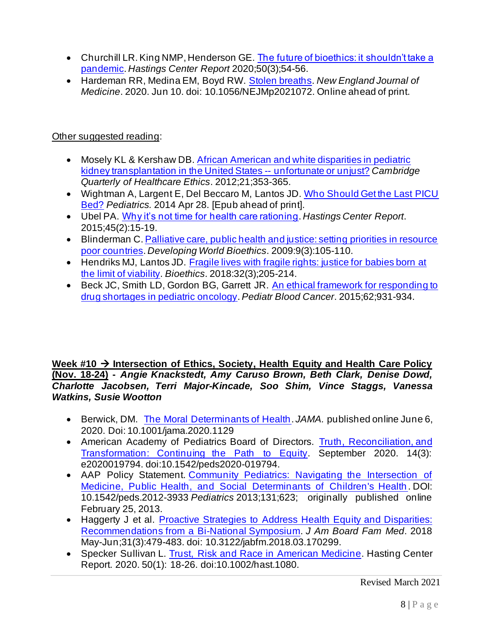- Churchill LR. King NMP, Henderson GE. The future of bioethics: it shouldn't take a pandemic. *Hastings Center Report* 2020;50(3);54-56.
- Hardeman RR, Medina EM, Boyd RW. Stolen breaths. *New England Journal of Medicine*. 2020. Jun 10. doi: 10.1056/NEJMp2021072. Online ahead of print.

## Other suggested reading:

- Mosely KL & Kershaw DB. African American and white disparities in pediatric kidney transplantation in the United States -- unfortunate or unjust? *Cambridge Quarterly of Healthcare Ethics*. 2012;21;353-365.
- Wightman A, Largent E, Del Beccaro M, Lantos JD. Who Should Get the Last PICU Bed? *Pediatrics.* 2014 Apr 28. [Epub ahead of print].
- Ubel PA. Why it's not time for health care rationing. *Hastings Center Report*. 2015;45(2):15-19.
- Blinderman C. Palliative care, public health and justice: setting priorities in resource poor countries. *Developing World Bioethics*. 2009:9(3):105-110.
- Hendriks MJ, Lantos JD. Fragile lives with fragile rights: justice for babies born at the limit of viability. *Bioethics*. 2018:32(3);205-214.
- Beck JC, Smith LD, Gordon BG, Garrett JR. An ethical framework for responding to drug shortages in pediatric oncology. *Pediatr Blood Cancer*. 2015;62;931-934.

### **Week #10** → **Intersection of Ethics, Society, Health Equity and Health Care Policy (Nov. 18-24) -** *Angie Knackstedt, Amy Caruso Brown, Beth Clark, Denise Dowd, Charlotte Jacobsen, Terri Major-Kincade, Soo Shim, Vince Staggs, Vanessa Watkins, Susie Wootton*

- Berwick, DM. The Moral Determinants of Health. *JAMA.* published online June 6, 2020. Doi: 10.1001/jama.2020.1129
- American Academy of Pediatrics Board of Directors. Truth, Reconciliation, and Transformation: Continuing the Path to Equity. September 2020. 14(3): e2020019794. doi:10.1542/peds2020-019794.
- AAP Policy Statement. Community Pediatrics: Navigating the Intersection of Medicine, Public Health, and Social Determinants of Children's Health . DOI: 10.1542/peds.2012-3933 *Pediatrics* 2013;131;623; originally published online February 25, 2013.
- Haggerty J et al. Proactive Strategies to Address Health Equity and Disparities: Recommendations from a Bi-National Symposium. *J Am Board Fam Med*. 2018 May-Jun;31(3):479-483. doi: 10.3122/jabfm.2018.03.170299.
- Specker Sullivan L. Trust, Risk and Race in American Medicine. Hasting Center Report. 2020. 50(1): 18-26. doi:10.1002/hast.1080.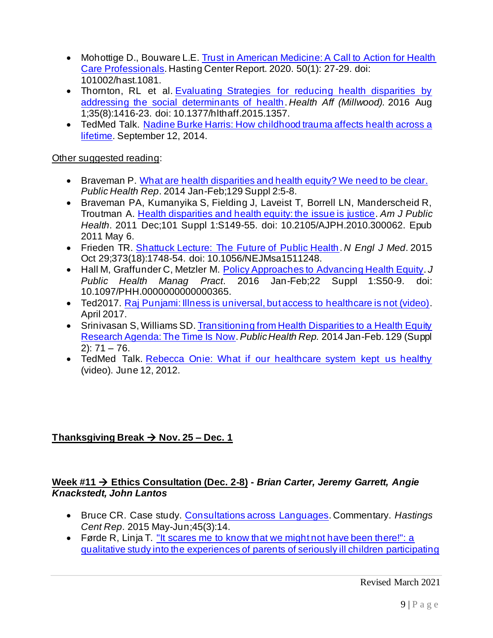- Mohottige D., Bouware L.E. Trust in American Medicine: A Call to Action for Health Care Professionals. Hasting Center Report. 2020. 50(1): 27-29. doi: 101002/hast.1081.
- Thornton, RL et al. Evaluating Strategies for reducing health disparities by addressing the social determinants of health. *Health Aff (Millwood).* 2016 Aug 1;35(8):1416-23. doi: 10.1377/hlthaff.2015.1357.
- TedMed Talk. Nadine Burke Harris: How childhood trauma affects health across a lifetime. September 12, 2014.

## Other suggested reading:

- Braveman P. What are health disparities and health equity? We need to be clear. *Public Health Rep*. 2014 Jan-Feb;129 Suppl 2:5-8.
- Braveman PA, Kumanyika S, Fielding J, Laveist T, Borrell LN, Manderscheid R, Troutman A. Health disparities and health equity: the issue is justice. *Am J Public Health*. 2011 Dec;101 Suppl 1:S149-55. doi: 10.2105/AJPH.2010.300062. Epub 2011 May 6.
- Frieden TR. Shattuck Lecture: The Future of Public Health. *N Engl J Med*. 2015 Oct 29;373(18):1748-54. doi: 10.1056/NEJMsa1511248.
- Hall M, Graffunder C, Metzler M. Policy Approaches to Advancing Health Equity. *J Public Health Manag Pract*. 2016 Jan-Feb;22 Suppl 1:S50-9. doi: 10.1097/PHH.0000000000000365.
- Ted2017. Raj Punjami: Illness is universal, but access to healthcare is not (video). April 2017.
- Srinivasan S, Williams SD. Transitioning from Health Disparities to a Health Equity Research Agenda: The Time Is Now. *Public Health Rep.* 2014 Jan-Feb. 129 (Suppl  $2)$ : 71 – 76.
- TedMed Talk. Rebecca Onie: What if our healthcare system kept us healthy (video). June 12, 2012.

# **Thanksgiving Break** → **Nov. 25 – Dec. 1**

## **Week #11** → **Ethics Consultation (Dec. 2-8) -** *Brian Carter, Jeremy Garrett, Angie Knackstedt, John Lantos*

- Bruce CR. Case study. Consultations across Languages. Commentary. *Hastings Cent Rep*. 2015 May-Jun;45(3):14.
- Førde R, Linja T. "It scares me to know that we might not have been there!": a qualitative study into the experiences of parents of seriously ill children participating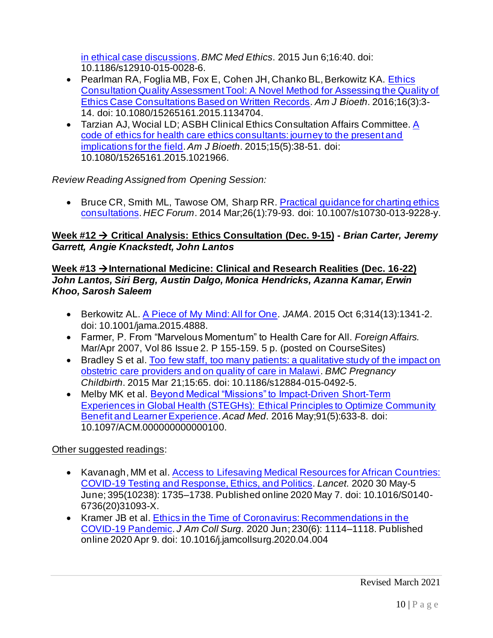in ethical case discussions. *BMC Med Ethics*. 2015 Jun 6;16:40. doi: 10.1186/s12910-015-0028-6.

- Pearlman RA, Foglia MB, Fox E, Cohen JH, Chanko BL, Berkowitz KA. Ethics Consultation Quality Assessment Tool: A Novel Method for Assessing the Quality of Ethics Case Consultations Based on Written Records. *Am J Bioeth*. 2016;16(3):3- 14. doi: 10.1080/15265161.2015.1134704.
- Tarzian AJ, Wocial LD; ASBH Clinical Ethics Consultation Affairs Committee. A code of ethics for health care ethics consultants: journey to the present and implications for the field. *Am J Bioeth*. 2015;15(5):38-51. doi: 10.1080/15265161.2015.1021966.

## *Review Reading Assigned from Opening Session:*

• Bruce CR, Smith ML, Tawose OM, Sharp RR. Practical quidance for charting ethics consultations. *HEC Forum*. 2014 Mar;26(1):79-93. doi: 10.1007/s10730-013-9228-y.

## **Week #12** → **Critical Analysis: Ethics Consultation (Dec. 9-15) -** *Brian Carter, Jeremy Garrett, Angie Knackstedt, John Lantos*

### **Week #13** →**International Medicine: Clinical and Research Realities (Dec. 16-22)** *John Lantos, Siri Berg, Austin Dalgo, Monica Hendricks, Azanna Kamar, Erwin Khoo, Sarosh Saleem*

- Berkowitz AL. A Piece of My Mind: All for One. *JAMA*. 2015 Oct 6;314(13):1341-2. doi: 10.1001/jama.2015.4888.
- Farmer, P. From "Marvelous Momentum" to Health Care for All. *Foreign Affairs.* Mar/Apr 2007, Vol 86 Issue 2. P 155-159. 5 p. (posted on CourseSites)
- Bradley S et al. Too few staff, too many patients: a qualitative study of the impact on obstetric care providers and on quality of care in Malawi. *BMC Pregnancy Childbirth*. 2015 Mar 21;15:65. doi: 10.1186/s12884-015-0492-5.
- Melby MK et al. Beyond Medical "Missions" to Impact-Driven Short-Term Experiences in Global Health (STEGHs): Ethical Principles to Optimize Community Benefit and Learner Experience. *Acad Med*. 2016 May;91(5):633-8. doi: 10.1097/ACM.000000000000100.

- Kavanagh, MM et al. Access to Lifesaving Medical Resources for African Countries: COVID-19 Testing and Response, Ethics, and Politics. *Lancet*. 2020 30 May-5 June; 395(10238): 1735–1738. Published online 2020 May 7. doi: 10.1016/S0140- 6736(20)31093-X.
- Kramer JB et al. Ethics in the Time of Coronavirus: Recommendations in the COVID-19 Pandemic. *J Am Coll Surg*. 2020 Jun; 230(6): 1114–1118. Published online 2020 Apr 9. doi: 10.1016/j.jamcollsurg.2020.04.004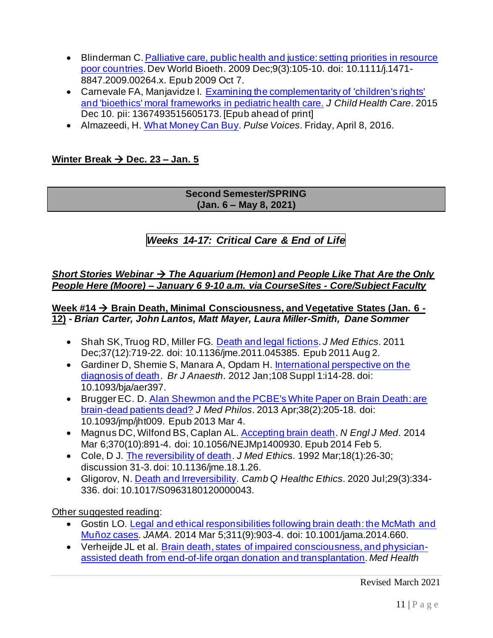- Blinderman C. Palliative care, public health and justice: setting priorities in resource poor countries. Dev World Bioeth. 2009 Dec;9(3):105-10. doi: 10.1111/j.1471- 8847.2009.00264.x. Epub 2009 Oct 7.
- Carnevale FA, Manjavidze I. Examining the complementarity of 'children's rights' and 'bioethics' moral frameworks in pediatric health care. *J Child Health Care*. 2015 Dec 10. pii: 1367493515605173. [Epub ahead of print]
- Almazeedi, H. What Money Can Buy. *Pulse Voices*. Friday, April 8, 2016.

## **Winter Break** → **Dec. 23 – Jan. 5**

#### **Second Semester/SPRING (Jan. 6 – May 8, 2021)**

# *Weeks 14-17: Critical Care & End of Life*

### *Short Stories Webinar → The Aquarium (Hemon) and People Like That Are the Only People Here (Moore) – January 6 9-10 a.m. via CourseSites - Core/Subject Faculty*

#### **Week #14** → **Brain Death, Minimal Consciousness, and Vegetative States (Jan. 6 - 12) -** *Brian Carter, John Lantos, Matt Mayer, Laura Miller-Smith, Dane Sommer*

- Shah SK, Truog RD, Miller FG. Death and legal fictions. *J Med Ethics*. 2011 Dec;37(12):719-22. doi: 10.1136/jme.2011.045385. Epub 2011 Aug 2.
- Gardiner D, Shemie S, Manara A, Opdam H. International perspective on the diagnosis of death. *Br J Anaesth*. 2012 Jan;108 Suppl 1:i14-28. doi: 10.1093/bja/aer397.
- Brugger EC. D. Alan Shewmon and the PCBE's White Paper on Brain Death: are brain-dead patients dead? *J Med Philos*. 2013 Apr;38(2):205-18. doi: 10.1093/jmp/jht009. Epub 2013 Mar 4.
- Magnus DC, Wilfond BS, Caplan AL. Accepting brain death. *N Engl J Med*. 2014 Mar 6;370(10):891-4. doi: 10.1056/NEJMp1400930. Epub 2014 Feb 5.
- Cole, D J. The reversibility of death. *J Med Ethic*s. 1992 Mar;18(1):26-30; discussion 31-3. doi: 10.1136/jme.18.1.26.
- Gligorov, N. Death and Irreversibility. *Camb Q Healthc Ethics*. 2020 Jul;29(3):334- 336. doi: 10.1017/S0963180120000043.

Other suggested reading:

- Gostin LO. Legal and ethical responsibilities following brain death: the McMath and Muñoz cases. *JAMA*. 2014 Mar 5;311(9):903-4. doi: 10.1001/jama.2014.660.
- Verheijde JL et al. Brain death, states of impaired consciousness, and physicianassisted death from end-of-life organ donation and transplantation. *Med Health*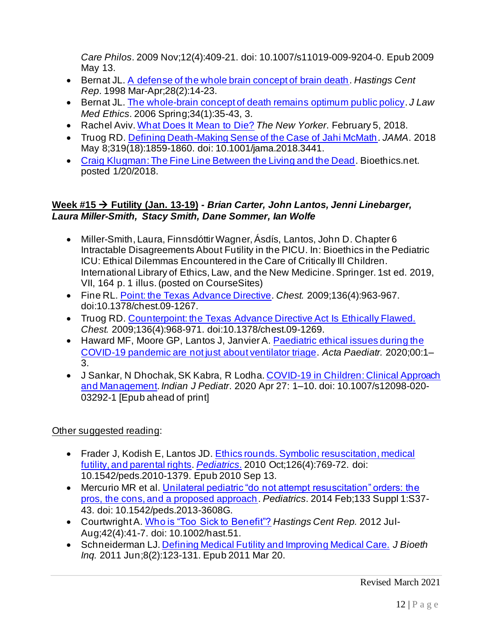*Care Philos*. 2009 Nov;12(4):409-21. doi: 10.1007/s11019-009-9204-0. Epub 2009 May 13.

- Bernat JL. A defense of the whole brain concept of brain death. *Hastings Cent Rep*. 1998 Mar-Apr;28(2):14-23.
- Bernat JL. The whole-brain concept of death remains optimum public policy. *J Law Med Ethics*. 2006 Spring;34(1):35-43, 3.
- Rachel Aviv. What Does It Mean to Die? *The New Yorker*. February 5, 2018.
- Truog RD. Defining Death-Making Sense of the Case of Jahi McMath. *JAMA*. 2018 May 8;319(18):1859-1860. doi: 10.1001/jama.2018.3441.
- Craig Klugman: The Fine Line Between the Living and the Dead. Bioethics.net. posted 1/20/2018.

### **Week #15** → **Futility (Jan. 13-19) -** *Brian Carter, John Lantos, Jenni Linebarger, Laura Miller-Smith, Stacy Smith, Dane Sommer, Ian Wolfe*

- Miller-Smith, Laura, Finnsdóttir Wagner, Ásdís, Lantos, John D. Chapter 6 Intractable Disagreements About Futility in the PICU. In: Bioethics in the Pediatric ICU: Ethical Dilemmas Encountered in the Care of Critically Ill Children. International Library of Ethics, Law, and the New Medicine. Springer. 1st ed. 2019, VII, 164 p. 1 illus.(posted on CourseSites)
- Fine RL. Point: the Texas Advance Directive. *Chest.* 2009;136(4):963-967. doi:10.1378/chest.09-1267.
- Truog RD. Counterpoint: the Texas Advance Directive Act Is Ethically Flawed. *Chest.* 2009;136(4):968-971. doi:10.1378/chest.09-1269.
- Haward MF, Moore GP, Lantos J, Janvier A. Paediatric ethical issues during the COVID-19 pandemic are not just about ventilator triage. *Acta Paediatr.* 2020;00:1– 3.
- J Sankar, N Dhochak, SK Kabra, R Lodha. COVID-19 in Children: Clinical Approach and Management. *Indian J Pediatr*. 2020 Apr 27: 1–10. doi: 10.1007/s12098-020- 03292-1 [Epub ahead of print]

- Frader J, Kodish E, Lantos JD. Ethics rounds. Symbolic resuscitation, medical futility, and parental rights. *Pediatrics*. 2010 Oct;126(4):769-72. doi: 10.1542/peds.2010-1379. Epub 2010 Sep 13.
- Mercurio MR et al. Unilateral pediatric "do not attempt resuscitation" orders: the pros, the cons, and a proposed approach. *Pediatrics*. 2014 Feb;133 Suppl 1:S37- 43. doi: 10.1542/peds.2013-3608G.
- Courtwright A. Who is "Too Sick to Benefit"? *Hastings Cent Rep.* 2012 Jul-Aug;42(4):41-7. doi: 10.1002/hast.51.
- Schneiderman LJ. Defining Medical Futility and Improving Medical Care. *J Bioeth Inq.* 2011 Jun;8(2):123-131. Epub 2011 Mar 20.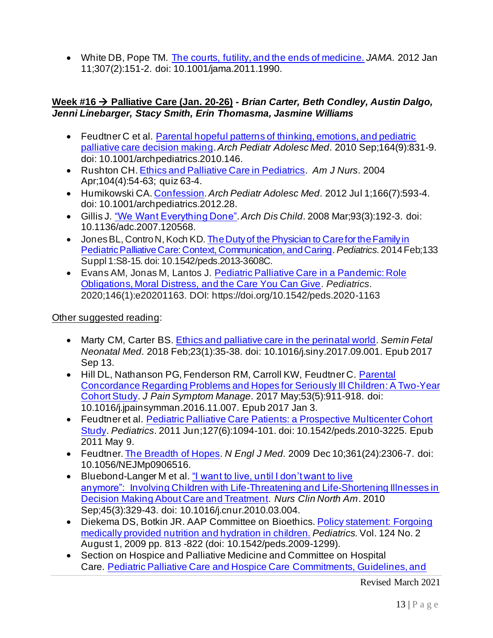• White DB, Pope TM. The courts, futility, and the ends of medicine. *JAMA.* 2012 Jan 11;307(2):151-2. doi: 10.1001/jama.2011.1990.

### **Week #16** → **Palliative Care (Jan. 20-26) -** *Brian Carter, Beth Condley, Austin Dalgo, Jenni Linebarger, Stacy Smith, Erin Thomasma, Jasmine Williams*

- Feudtner C et al. Parental hopeful patterns of thinking, emotions, and pediatric palliative care decision making.*Arch Pediatr Adolesc Med*. 2010 Sep;164(9):831-9. doi: 10.1001/archpediatrics.2010.146.
- Rushton CH. Ethics and Palliative Care in Pediatrics. *Am J Nurs*. 2004 Apr;104(4):54-63; quiz 63-4.
- Humikowski CA. Confession.*Arch Pediatr Adolesc Med*. 2012 Jul 1;166(7):593-4. doi: 10.1001/archpediatrics.2012.28.
- Gillis J. "We Want Everything Done".*Arch Dis Child*. 2008 Mar;93(3):192-3. doi: 10.1136/adc.2007.120568.
- JonesBL, Contro N, Koch KD. The Duty of the Physician to Care for the Family in Pediatric Palliative Care: Context, Communication, and Caring. *Pediatrics*. 2014 Feb;133 Suppl 1:S8-15. doi: 10.1542/peds.2013-3608C.
- Evans AM, Jonas M, Lantos J. Pediatric Palliative Care in a Pandemic: Role Obligations, Moral Distress, and the Care You Can Give. *Pediatrics*. 2020;146(1):e20201163. DOI: https://doi.org/10.1542/peds.2020-1163

Other suggested reading:

- Marty CM, Carter BS. Ethics and palliative care in the perinatal world. *Semin Fetal Neonatal Med*. 2018 Feb;23(1):35-38. doi: 10.1016/j.siny.2017.09.001. Epub 2017 Sep 13.
- Hill DL, Nathanson PG, Fenderson RM, Carroll KW, Feudtner C. Parental Concordance Regarding Problems and Hopes for Seriously Ill Children: A Two-Year Cohort Study. *J Pain Symptom Manage*. 2017 May;53(5):911-918. doi: 10.1016/j.jpainsymman.2016.11.007. Epub 2017 Jan 3.
- Feudtner et al. Pediatric Palliative Care Patients: a Prospective Multicenter Cohort Study. *Pediatrics*. 2011 Jun;127(6):1094-101. doi: 10.1542/peds.2010-3225. Epub 2011 May 9.
- Feudtner. The Breadth of Hopes. *N Engl J Med*. 2009 Dec 10;361(24):2306-7. doi: 10.1056/NEJMp0906516.
- Bluebond-Langer M et al. "I want to live, until I don't want to live anymore": Involving Children with Life-Threatening and Life-Shortening Illnesses in Decision Making About Care and Treatment. *Nurs Clin North Am*. 2010 Sep;45(3):329-43. doi: 10.1016/j.cnur.2010.03.004.
- Diekema DS, Botkin JR. AAP Committee on Bioethics. Policy statement: Forgoing medically provided nutrition and hydration in children. *Pediatrics.* Vol. 124 No. 2 August 1, 2009 pp. 813 -822 (doi: 10.1542/peds.2009-1299).
- Section on Hospice and Palliative Medicine and Committee on Hospital Care. Pediatric Palliative Care and Hospice Care Commitments, Guidelines, and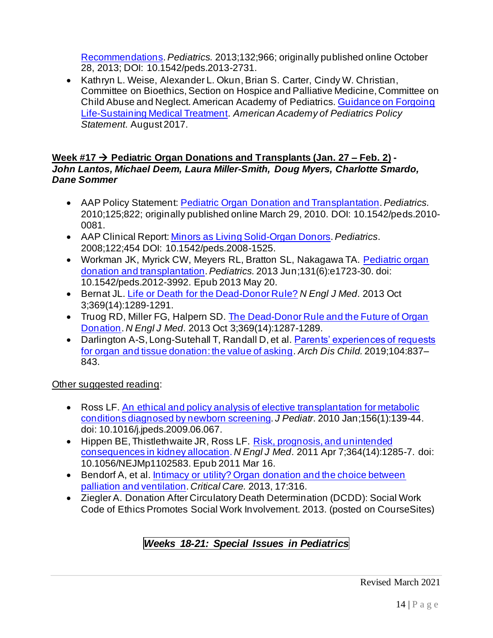Recommendations.*Pediatrics.* 2013;132;966; originally published online October 28, 2013; DOI: 10.1542/peds.2013-2731.

• Kathryn L. Weise, Alexander L. Okun, Brian S. Carter, Cindy W. Christian, Committee on Bioethics, Section on Hospice and Palliative Medicine, Committee on Child Abuse and Neglect. American Academy of Pediatrics. Guidance on Forgoing Life-Sustaining Medical Treatment. *American Academy of Pediatrics Policy Statement*. August 2017.

### **Week #17** → **Pediatric Organ Donations and Transplants (Jan. 27 – Feb. 2) -** *John Lantos, Michael Deem, Laura Miller-Smith, Doug Myers, Charlotte Smardo, Dane Sommer*

- AAP Policy Statement: Pediatric Organ Donation and Transplantation. *Pediatrics.* 2010;125;822; originally published online March 29, 2010. DOI: 10.1542/peds.2010- 0081.
- AAP Clinical Report: Minors as Living Solid-Organ Donors.*Pediatrics*. 2008;122;454 DOI: 10.1542/peds.2008-1525.
- Workman JK, Myrick CW, Meyers RL, Bratton SL, Nakagawa TA. Pediatric organ donation and transplantation.*Pediatrics.* 2013 Jun;131(6):e1723-30. doi: 10.1542/peds.2012-3992. Epub 2013 May 20.
- Bernat JL. Life or Death for the Dead-Donor Rule? *N Engl J Med*. 2013 Oct 3;369(14):1289-1291.
- Truog RD, Miller FG, Halpern SD. The Dead-Donor Rule and the Future of Organ Donation. *N Engl J Med*. 2013 Oct 3;369(14):1287-1289.
- Darlington A-S, Long-Sutehall T, Randall D, et al. Parents' experiences of requests for organ and tissue donation: the value of asking. *Arch Dis Child.* 2019;104:837– 843.

Other suggested reading:

- Ross LF. An ethical and policy analysis of elective transplantation for metabolic conditions diagnosed by newborn screening. *J Pediatr*. 2010 Jan;156(1):139-44. doi: 10.1016/j.jpeds.2009.06.067.
- Hippen BE, Thistlethwaite JR, Ross LF. Risk, prognosis, and unintended consequences in kidney allocation. *N Engl J Med*. 2011 Apr 7;364(14):1285-7. doi: 10.1056/NEJMp1102583. Epub 2011 Mar 16.
- Bendorf A, et al. Intimacy or utility? Organ donation and the choice between palliation and ventilation. *Critical Care.* 2013, 17:316.
- Ziegler A. Donation After Circulatory Death Determination (DCDD): Social Work Code of Ethics Promotes Social Work Involvement. 2013. (posted on CourseSites)

# *Weeks 18-21: Special Issues in Pediatrics*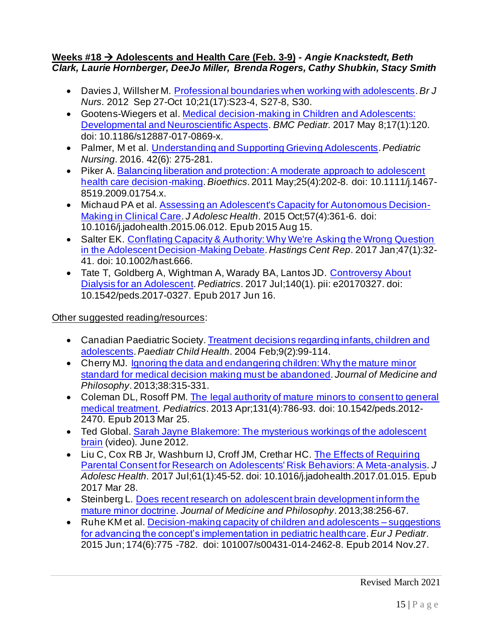#### **Weeks #18** → **Adolescents and Health Care (Feb. 3-9) -** *Angie Knackstedt, Beth Clark, Laurie Hornberger, DeeJo Miller, Brenda Rogers, Cathy Shubkin, Stacy Smith*

- Davies J, Willsher M. Professional boundaries when working with adolescents. *Br J Nurs*. 2012 Sep 27-Oct 10;21(17):S23-4, S27-8, S30.
- Gootens-Wiegers et al. Medical decision-making in Children and Adolescents: Developmental and Neuroscientific Aspects. *BMC Pediatr.* 2017 May 8;17(1):120. doi: 10.1186/s12887-017-0869-x.
- Palmer, M et al. Understanding and Supporting Grieving Adolescents.*Pediatric Nursing*. 2016. 42(6): 275-281.
- Piker A. Balancing liberation and protection: A moderate approach to adolescent health care decision-making. *Bioethics*. 2011 May;25(4):202-8. doi: 10.1111/j.1467- 8519.2009.01754.x.
- Michaud PA et al. Assessing an Adolescent's Capacity for Autonomous Decision-Making in Clinical Care. *J Adolesc Health*. 2015 Oct;57(4):361-6. doi: 10.1016/j.jadohealth.2015.06.012. Epub 2015 Aug 15.
- Salter EK. Conflating Capacity & Authority: Why We're Asking the Wrong Question in the Adolescent Decision-Making Debate. *Hastings Cent Rep*. 2017 Jan;47(1):32- 41. doi: 10.1002/hast.666.
- Tate T, Goldberg A, Wightman A, Warady BA, Lantos JD. Controversy About Dialysis for an Adolescent. *Pediatrics*. 2017 Jul;140(1). pii: e20170327. doi: 10.1542/peds.2017-0327. Epub 2017 Jun 16.

Other suggested reading/resources:

- Canadian Paediatric Society. Treatment decisions regarding infants, children and adolescents. *Paediatr Child Health*. 2004 Feb;9(2):99-114.
- Cherry MJ. Ignoring the data and endangering children: Why the mature minor standard for medical decision making must be abandoned. *Journal of Medicine and Philosophy*. 2013;38:315-331.
- Coleman DL, Rosoff PM. The legal authority of mature minors to consent to general medical treatment. *Pediatrics*. 2013 Apr;131(4):786-93. doi: 10.1542/peds.2012- 2470. Epub 2013 Mar 25.
- Ted Global. Sarah Jayne Blakemore: The mysterious workings of the adolescent brain (video). June 2012.
- Liu C, Cox RB Jr, Washburn IJ, Croff JM, Crethar HC. The Effects of Requiring Parental Consent for Research on Adolescents' Risk Behaviors: A Meta-analysis. *J Adolesc Health*. 2017 Jul;61(1):45-52. doi: 10.1016/j.jadohealth.2017.01.015. Epub 2017 Mar 28.
- Steinberg L. Does recent research on adolescent brain development inform the mature minor doctrine. *Journal of Medicine and Philosophy*. 2013;38:256-67.
- Ruhe KM et al. Decision-making capacity of children and adolescents suggestions for advancing the concept's implementation in pediatric healthcare. *Eur J Pediatr*. 2015 Jun; 174(6):775 -782. doi: 101007/s00431-014-2462-8. Epub 2014 Nov.27.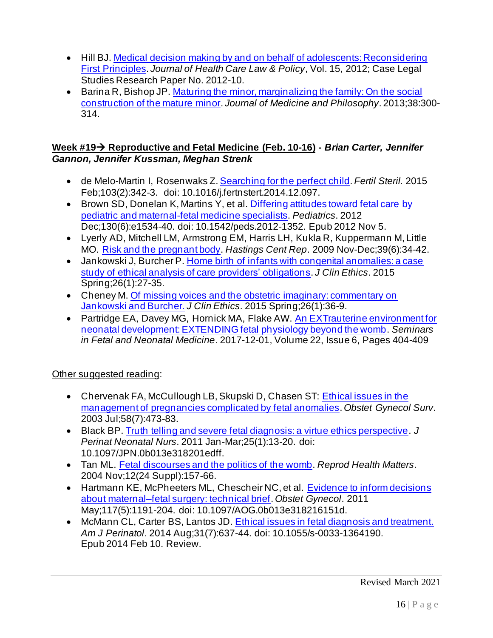- Hill BJ. Medical decision making by and on behalf of adolescents: Reconsidering First Principles. *Journal of Health Care Law & Policy*, Vol. 15, 2012; Case Legal Studies Research Paper No. 2012-10.
- Barina R, Bishop JP. Maturing the minor, marginalizing the family: On the social construction of the mature minor. *Journal of Medicine and Philosophy*. 2013;38:300- 314.

## **Week #19**→ **Reproductive and Fetal Medicine (Feb. 10-16) -** *Brian Carter, Jennifer Gannon, Jennifer Kussman, Meghan Strenk*

- de Melo-Martin I, Rosenwaks Z. Searching for the perfect child. *Fertil Steril.* 2015 Feb;103(2):342-3. doi: 10.1016/j.fertnstert.2014.12.097.
- Brown SD, Donelan K, Martins Y, et al. Differing attitudes toward fetal care by pediatric and maternal-fetal medicine specialists. *Pediatrics*. 2012 Dec;130(6):e1534-40. doi: 10.1542/peds.2012-1352. Epub 2012 Nov 5.
- Lyerly AD, Mitchell LM, Armstrong EM, Harris LH, Kukla R, Kuppermann M, Little MO. Risk and the pregnant body. *Hastings Cent Rep*. 2009 Nov-Dec;39(6):34-42.
- Jankowski J, Burcher P. Home birth of infants with congenital anomalies: a case study of ethical analysis of care providers' obligations. *J Clin Ethics*. 2015 Spring;26(1):27-35.
- Cheney M. Of missing voices and the obstetric imaginary: commentary on Jankowski and Burcher. *J Clin Ethics*. 2015 Spring;26(1):36-9.
- Partridge EA, Davey MG, Hornick MA, Flake AW. An EXTrauterine environment for neonatal development: EXTENDING fetal physiology beyond the womb. *Seminars in Fetal and Neonatal Medicine*. 2017-12-01, Volume 22, Issue 6, Pages 404-409

- Chervenak FA, McCullough LB, Skupski D, Chasen ST: Ethical issues in the management of pregnancies complicated by fetal anomalies. *Obstet Gynecol Surv*. 2003 Jul;58(7):473-83.
- Black BP. Truth telling and severe fetal diagnosis: a virtue ethics perspective. *J Perinat Neonatal Nurs*. 2011 Jan-Mar;25(1):13-20. doi: 10.1097/JPN.0b013e318201edff.
- Tan ML. Fetal discourses and the politics of the womb. *Reprod Health Matters*. 2004 Nov;12(24 Suppl):157-66.
- Hartmann KE, McPheeters ML, Chescheir NC, et al. Evidence to inform decisions about maternal–fetal surgery: technical brief. *Obstet Gynecol*. 2011 May;117(5):1191-204. doi: 10.1097/AOG.0b013e318216151d.
- McMann CL, Carter BS, Lantos JD. Ethical issues in fetal diagnosis and treatment. *Am J Perinatol*. 2014 Aug;31(7):637-44. doi: 10.1055/s-0033-1364190. Epub 2014 Feb 10. Review.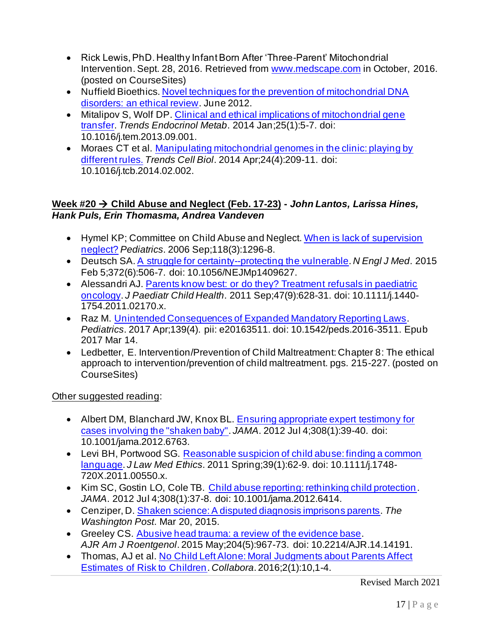- Rick Lewis, PhD. Healthy Infant Born After 'Three-Parent' Mitochondrial Intervention. Sept. 28, 2016. Retrieved from www.medscape.com in October, 2016. (posted on CourseSites)
- Nuffield Bioethics. Novel techniques for the prevention of mitochondrial DNA disorders: an ethical review. June 2012.
- Mitalipov S, Wolf DP. Clinical and ethical implications of mitochondrial gene transfer. *Trends Endocrinol Metab*. 2014 Jan;25(1):5-7. doi: 10.1016/j.tem.2013.09.001.
- Moraes CT et al. Manipulating mitochondrial genomes in the clinic: playing by different rules. *Trends Cell Biol*. 2014 Apr;24(4):209-11. doi: 10.1016/j.tcb.2014.02.002.

## **Week #20** → **Child Abuse and Neglect (Feb. 17-23) -** *John Lantos, Larissa Hines, Hank Puls, Erin Thomasma, Andrea Vandeven*

- Hymel KP; Committee on Child Abuse and Neglect. When is lack of supervision neglect? *Pediatrics*. 2006 Sep;118(3):1296-8.
- Deutsch SA. A struggle for certainty--protecting the vulnerable. *N Engl J Med*. 2015 Feb 5;372(6):506-7. doi: 10.1056/NEJMp1409627.
- Alessandri AJ. Parents know best: or do they? Treatment refusals in paediatric oncology. *J Paediatr Child Health*. 2011 Sep;47(9):628-31. doi: 10.1111/j.1440- 1754.2011.02170.x.
- Raz M. Unintended Consequences of Expanded Mandatory Reporting Laws. *Pediatrics*. 2017 Apr;139(4). pii: e20163511. doi: 10.1542/peds.2016-3511. Epub 2017 Mar 14.
- Ledbetter, E. Intervention/Prevention of Child Maltreatment: Chapter 8: The ethical approach to intervention/prevention of child maltreatment. pgs. 215-227. (posted on CourseSites)

Other suggested reading:

- Albert DM, Blanchard JW, Knox BL. Ensuring appropriate expert testimony for cases involving the "shaken baby". *JAMA*. 2012 Jul 4;308(1):39-40. doi: 10.1001/jama.2012.6763.
- Levi BH, Portwood SG. Reasonable suspicion of child abuse: finding a common language. *J Law Med Ethics*. 2011 Spring;39(1):62-9. doi: 10.1111/j.1748- 720X.2011.00550.x.
- Kim SC, Gostin LO, Cole TB. Child abuse reporting: rethinking child protection. *JAMA*. 2012 Jul 4;308(1):37-8. doi: 10.1001/jama.2012.6414.
- Cenziper, D. Shaken science: A disputed diagnosis imprisons parents. *The Washington Post*. Mar 20, 2015.
- Greeley CS. Abusive head trauma: a review of the evidence base. *AJR Am J Roentgenol*. 2015 May;204(5):967-73. doi: 10.2214/AJR.14.14191.
- Thomas, AJ et al. No Child Left Alone: Moral Judgments about Parents Affect Estimates of Risk to Children. *Collabora*. 2016;2(1):10,1-4.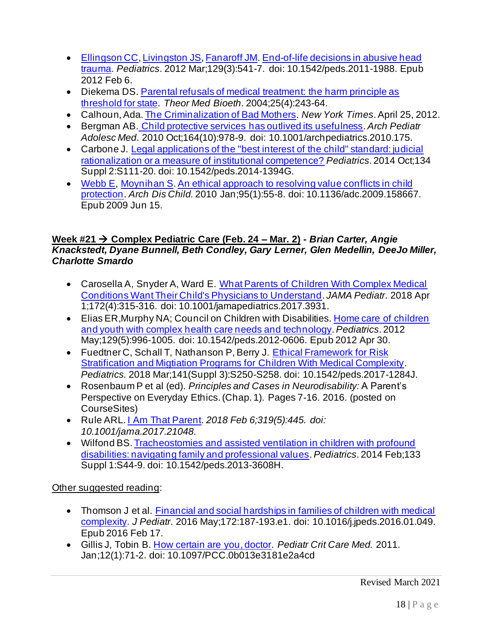- Ellingson CC, Livingston JS, Fanaroff JM. End-of-life decisions in abusive head trauma. *Pediatrics*. 2012 Mar;129(3):541-7. doi: 10.1542/peds.2011-1988. Epub 2012 Feb 6.
- Diekema DS. Parental refusals of medical treatment: the harm principle as threshold for state. *Theor Med Bioeth*. 2004;25(4):243-64.
- Calhoun, Ada. The Criminalization of Bad Mothers. *New York Times*. April 25, 2012.
- Bergman AB. Child protective services has outlived its usefulness. *Arch Pediatr Adolesc Med*. 2010 Oct;164(10):978-9. doi: 10.1001/archpediatrics.2010.175.
- Carbone J. Legal applications of the "best interest of the child" standard: judicial rationalization or a measure of institutional competence? *Pediatrics*. 2014 Oct;134 Suppl 2:S111-20. doi: 10.1542/peds.2014-1394G.
- Webb E, Moynihan S. An ethical approach to resolving value conflicts in child protection. *Arch Dis Child.* 2010 Jan;95(1):55-8. doi: 10.1136/adc.2009.158667. Epub 2009 Jun 15.

## **Week #21** → **Complex Pediatric Care (Feb. 24 – Mar. 2) -** *Brian Carter, Angie Knackstedt, Dyane Bunnell, Beth Condley, Gary Lerner, Glen Medellin, DeeJo Miller, Charlotte Smardo*

- Carosella A, Snyder A, Ward E. What Parents of Children With Complex Medical Conditions Want Their Child's Physicians to Understand. *JAMA Pediatr*. 2018 Apr 1;172(4):315-316. doi: 10.1001/jamapediatrics.2017.3931.
- Elias ER,Murphy NA; Council on Children with Disabilities. Home care of children and youth with complex health care needs and technology. *Pediatrics*. 2012 May;129(5):996-1005. doi: 10.1542/peds.2012-0606. Epub 2012 Apr 30.
- Fuedtner C, Schall T, Nathanson P, Berry J. Ethical Framework for Risk Stratification and Migtiation Programs for Children With Medical Complexity. *Pediatrics.* 2018 Mar;141(Suppl 3):S250-S258. doi: 10.1542/peds.2017-1284J.
- Rosenbaum P et al (ed). *Principles and Cases in Neurodisability:* A Parent's Perspective on Everyday Ethics. (Chap. 1). Pages 7-16. 2016. (posted on CourseSites)
- Rule ARL. I Am That Parent. *2018 Feb 6;319(5):445. doi: 10.1001/jama.2017.21048.*
- Wilfond BS. Tracheostomies and assisted ventilation in children with profound disabilities: navigating family and professional values. *Pediatrics*. 2014 Feb;133 Suppl 1:S44-9. doi: 10.1542/peds.2013-3608H.

- Thomson J et al. Financial and social hardships in families of children with medical complexity. *J Pediatr*. 2016 May;172:187-193.e1. doi: 10.1016/j.jpeds.2016.01.049. Epub 2016 Feb 17.
- Gillis J, Tobin B. How certain are you, doctor. *Pediatr Crit Care Med.* 2011. Jan;12(1):71-2. doi: 10.1097/PCC.0b013e3181e2a4cd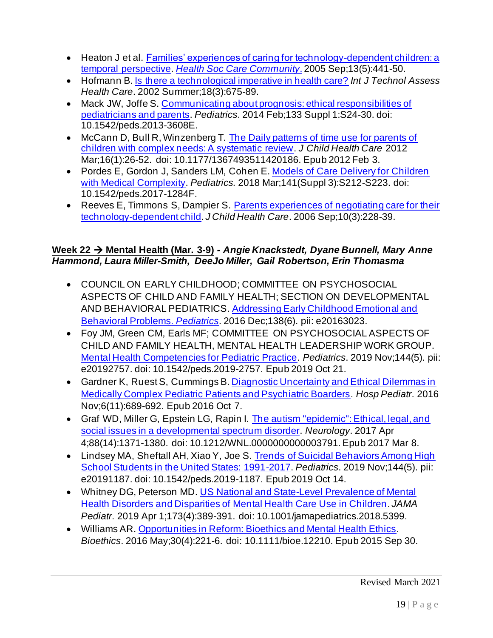- Heaton J et al. Families' experiences of caring for technology-dependent children: a temporal perspective. *Health Soc Care Community*. 2005 Sep;13(5):441-50.
- Hofmann B. Is there a technological imperative in health care? *Int J Technol Assess Health Care*. 2002 Summer;18(3):675-89.
- Mack JW, Joffe S. Communicating about prognosis: ethical responsibilities of pediatricians and parents. *Pediatrics*. 2014 Feb;133 Suppl 1:S24-30. doi: 10.1542/peds.2013-3608E.
- McCann D, Bull R, Winzenberg T. The Daily patterns of time use for parents of children with complex needs: A systematic review. *J Child Health Care* 2012 Mar;16(1):26-52. doi: 10.1177/1367493511420186. Epub 2012 Feb 3.
- Pordes E, Gordon J, Sanders LM, Cohen E. Models of Care Delivery for Children with Medical Complexity. *Pediatrics.* 2018 Mar;141(Suppl 3):S212-S223. doi: 10.1542/peds.2017-1284F.
- Reeves E, Timmons S, Dampier S. Parents experiences of negotiating care for their technology-dependent child. *J Child Health Care*. 2006 Sep;10(3):228-39.

## **Week 22** → **Mental Health (Mar. 3-9)** *- Angie Knackstedt, Dyane Bunnell, Mary Anne Hammond, Laura Miller-Smith, DeeJo Miller, Gail Robertson, Erin Thomasma*

- COUNCIL ON EARLY CHILDHOOD; COMMITTEE ON PSYCHOSOCIAL ASPECTS OF CHILD AND FAMILY HEALTH; SECTION ON DEVELOPMENTAL AND BEHAVIORAL PEDIATRICS. Addressing Early Childhood Emotional and Behavioral Problems. *Pediatrics*. 2016 Dec;138(6). pii: e20163023.
- Foy JM, Green CM, Earls MF; COMMITTEE ON PSYCHOSOCIAL ASPECTS OF CHILD AND FAMILY HEALTH, MENTAL HEALTH LEADERSHIP WORK GROUP. Mental Health Competencies for Pediatric Practice. *Pediatrics*. 2019 Nov;144(5). pii: e20192757. doi: 10.1542/peds.2019-2757. Epub 2019 Oct 21.
- Gardner K, Ruest S, Cummings B. Diagnostic Uncertainty and Ethical Dilemmas in Medically Complex Pediatric Patients and Psychiatric Boarders. *Hosp Pediatr*. 2016 Nov;6(11):689-692. Epub 2016 Oct 7.
- Graf WD, Miller G, Epstein LG, Rapin I. The autism "epidemic": Ethical, legal, and social issues in a developmental spectrum disorder. *Neurology*. 2017 Apr 4;88(14):1371-1380. doi: 10.1212/WNL.0000000000003791. Epub 2017 Mar 8.
- Lindsey MA, Sheftall AH, Xiao Y, Joe S. Trends of Suicidal Behaviors Among High School Students in the United States: 1991-2017. *Pediatrics*. 2019 Nov;144(5). pii: e20191187. doi: 10.1542/peds.2019-1187. Epub 2019 Oct 14.
- Whitney DG, Peterson MD. US National and State-Level Prevalence of Mental Health Disorders and Disparities of Mental Health Care Use in Children. *JAMA Pediatr*. 2019 Apr 1;173(4):389-391. doi: 10.1001/jamapediatrics.2018.5399.
- Williams AR. Opportunities in Reform: Bioethics and Mental Health Ethics. *Bioethics*. 2016 May;30(4):221-6. doi: 10.1111/bioe.12210. Epub 2015 Sep 30.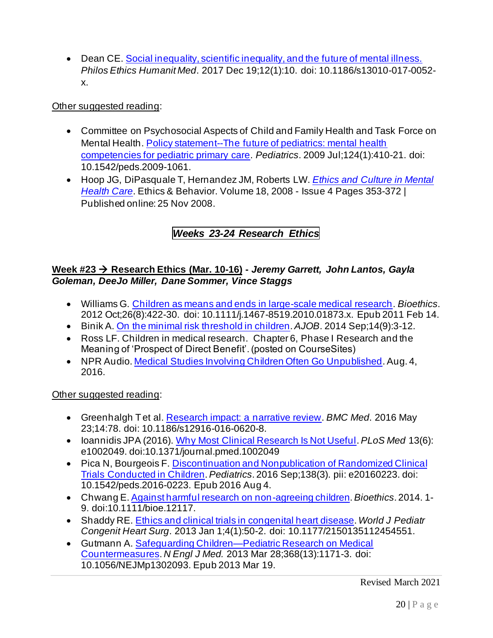• Dean CE. Social inequality, scientific inequality, and the future of mental illness. *Philos Ethics Humanit Med*. 2017 Dec 19;12(1):10. doi: 10.1186/s13010-017-0052 x.

## Other suggested reading:

- Committee on Psychosocial Aspects of Child and Family Health and Task Force on Mental Health. Policy statement--The future of pediatrics: mental health competencies for pediatric primary care. *Pediatrics*. 2009 Jul;124(1):410-21. doi: 10.1542/peds.2009-1061.
- Hoop JG, DiPasquale T, Hernandez JM, Roberts LW. *Ethics and Culture in Mental Health Care*. Ethics & Behavior. Volume 18, 2008 - Issue 4 Pages 353-372 | Published online: 25 Nov 2008.

# *Weeks 23-24 Research Ethics*

## **Week #23** → **Research Ethics (Mar. 10-16) -** *Jeremy Garrett, John Lantos, Gayla Goleman, DeeJo Miller, Dane Sommer, Vince Staggs*

- Williams G. Children as means and ends in large-scale medical research. *Bioethics*. 2012 Oct;26(8):422-30. doi: 10.1111/j.1467-8519.2010.01873.x. Epub 2011 Feb 14.
- Binik A. On the minimal risk threshold in children. *AJOB*. 2014 Sep;14(9):3-12.
- Ross LF. Children in medical research. Chapter 6, Phase I Research and the Meaning of 'Prospect of Direct Benefit'. (posted on CourseSites)
- NPR Audio. Medical Studies Involving Children Often Go Unpublished. Aug. 4, 2016.

- Greenhalgh T et al. Research impact: a narrative review. *BMC Med*. 2016 May 23;14:78. doi: 10.1186/s12916-016-0620-8.
- Ioannidis JPA (2016). Why Most Clinical Research Is Not Useful. *PLoS Med* 13(6): e1002049. doi:10.1371/journal.pmed.1002049
- Pica N, Bourgeois F. Discontinuation and Nonpublication of Randomized Clinical Trials Conducted in Children. *Pediatrics*. 2016 Sep;138(3). pii: e20160223. doi: 10.1542/peds.2016-0223. Epub 2016 Aug 4.
- Chwang E. Against harmful research on non-agreeing children. *Bioethics*. 2014. 1- 9. doi:10.1111/bioe.12117.
- Shaddy RE. Ethics and clinical trials in congenital heart disease. *World J Pediatr Congenit Heart Surg*. 2013 Jan 1;4(1):50-2. doi: 10.1177/2150135112454551.
- Gutmann A. Safeguarding Children—Pediatric Research on Medical Countermeasures. *N Engl J Med.* 2013 Mar 28;368(13):1171-3. doi: 10.1056/NEJMp1302093. Epub 2013 Mar 19.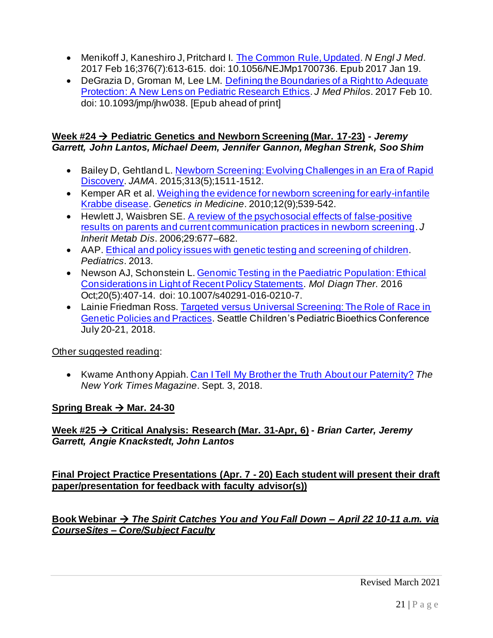- Menikoff J, Kaneshiro J, Pritchard I. The Common Rule, Updated. *N Engl J Med*. 2017 Feb 16;376(7):613-615. doi: 10.1056/NEJMp1700736. Epub 2017 Jan 19.
- DeGrazia D, Groman M, Lee LM. Defining the Boundaries of a Right to Adequate Protection: A New Lens on Pediatric Research Ethics. *J Med Philos*. 2017 Feb 10. doi: 10.1093/jmp/jhw038. [Epub ahead of print]

### **Week #24** → **Pediatric Genetics and Newborn Screening (Mar. 17-23)** *- Jeremy Garrett, John Lantos, Michael Deem, Jennifer Gannon, Meghan Strenk, Soo Shim*

- Bailey D, Gehtland L. Newborn Screening: Evolving Challenges in an Era of Rapid Discovery. *JAMA*. 2015;313(5);1511-1512.
- Kemper AR et al. Weighing the evidence for newborn screening for early-infantile Krabbe disease. *Genetics in Medicine*. 2010;12(9);539-542.
- Hewlett J, Waisbren SE. A review of the psychosocial effects of false-positive results on parents and current communication practices in newborn screening. *J Inherit Metab Dis*. 2006;29:677–682.
- AAP. Ethical and policy issues with genetic testing and screening of children. *Pediatrics*. 2013.
- Newson AJ, Schonstein L. Genomic Testing in the Paediatric Population: Ethical Considerations in Light of Recent Policy Statements. *Mol Diagn Ther*. 2016 Oct;20(5):407-14. doi: 10.1007/s40291-016-0210-7.
- Lainie Friedman Ross. Targeted versus Universal Screening: The Role of Race in Genetic Policies and Practices. Seattle Children's Pediatric Bioethics Conference July 20-21, 2018.

# Other suggested reading:

• Kwame Anthony Appiah. Can I Tell My Brother the Truth About our Paternity? *The New York Times Magazine*. Sept. 3, 2018.

# **Spring Break** → **Mar. 24-30**

**Week #25** → **Critical Analysis: Research (Mar. 31-Apr, 6) -** *Brian Carter, Jeremy Garrett, Angie Knackstedt, John Lantos*

**Final Project Practice Presentations (Apr. 7 - 20) Each student will present their draft paper/presentation for feedback with faculty advisor(s))**

**Book Webinar** → *The Spirit Catches You and You Fall Down – April 22 10-11 a.m. via CourseSites – Core/Subject Faculty*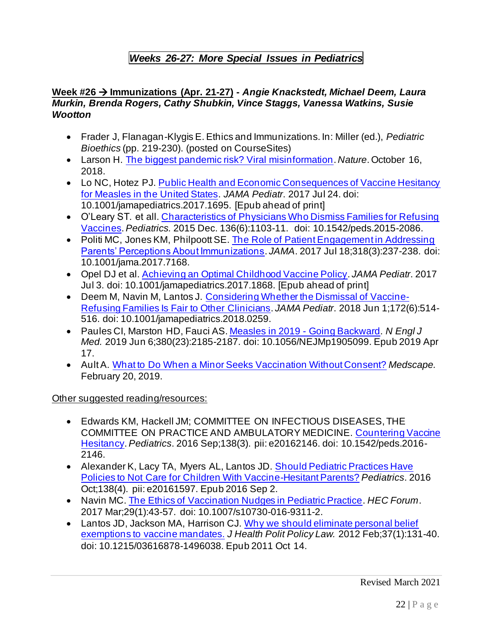# *Weeks 26-27: More Special Issues in Pediatrics*

### **Week #26** → **Immunizations (Apr. 21-27) -** *Angie Knackstedt, Michael Deem, Laura Murkin, Brenda Rogers, Cathy Shubkin, Vince Staggs, Vanessa Watkins, Susie Wootton*

- Frader J, Flanagan-Klygis E. Ethics and Immunizations. In: Miller (ed.), *Pediatric Bioethics* (pp. 219-230). (posted on CourseSites)
- Larson H. The biggest pandemic risk? Viral misinformation. *Nature*. October 16, 2018.
- Lo NC, Hotez PJ. Public Health and Economic Consequences of Vaccine Hesitancy for Measles in the United States. *JAMA Pediatr*. 2017 Jul 24. doi: 10.1001/jamapediatrics.2017.1695. [Epub ahead of print]
- O'Leary ST. et all. Characteristics of Physicians Who Dismiss Families for Refusing Vaccines. *Pediatrics.* 2015 Dec. 136(6):1103-11. doi: 10.1542/peds.2015-2086.
- Politi MC, Jones KM, Philpoott SE. The Role of Patient Engagement in Addressing Parents' Perceptions About Immunizations. *JAMA*. 2017 Jul 18;318(3):237-238. doi: 10.1001/jama.2017.7168.
- Opel DJ et al. Achieving an Optimal Childhood Vaccine Policy. *JAMA Pediatr*. 2017 Jul 3. doi: 10.1001/jamapediatrics.2017.1868. [Epub ahead of print]
- Deem M, Navin M, Lantos J. Considering Whether the Dismissal of Vaccine-Refusing Families Is Fair to Other Clinicians. *JAMA Pediatr*. 2018 Jun 1;172(6):514- 516. doi: 10.1001/jamapediatrics.2018.0259.
- Paules CI, Marston HD, Fauci AS. Measles in 2019 Going Backward. *N Engl J Med.* 2019 Jun 6;380(23):2185-2187. doi: 10.1056/NEJMp1905099. Epub 2019 Apr 17.
- Ault A. What to Do When a Minor Seeks Vaccination Without Consent? *Medscape.*  February 20, 2019.

## Other suggested reading/resources:

- Edwards KM, Hackell JM; COMMITTEE ON INFECTIOUS DISEASES, THE COMMITTEE ON PRACTICE AND AMBULATORY MEDICINE. Countering Vaccine Hesitancy. *Pediatrics*. 2016 Sep;138(3). pii: e20162146. doi: 10.1542/peds.2016- 2146.
- Alexander K, Lacy TA, Myers AL, Lantos JD. Should Pediatric Practices Have Policies to Not Care for Children With Vaccine-Hesitant Parents? *Pediatrics*. 2016 Oct;138(4). pii: e20161597. Epub 2016 Sep 2.
- Navin MC. The Ethics of Vaccination Nudges in Pediatric Practice. *HEC Forum*. 2017 Mar;29(1):43-57. doi: 10.1007/s10730-016-9311-2.
- Lantos JD, Jackson MA, Harrison CJ. Why we should eliminate personal belief exemptions to vaccine mandates. *J Health Polit Policy Law.* 2012 Feb;37(1):131-40. doi: 10.1215/03616878-1496038. Epub 2011 Oct 14.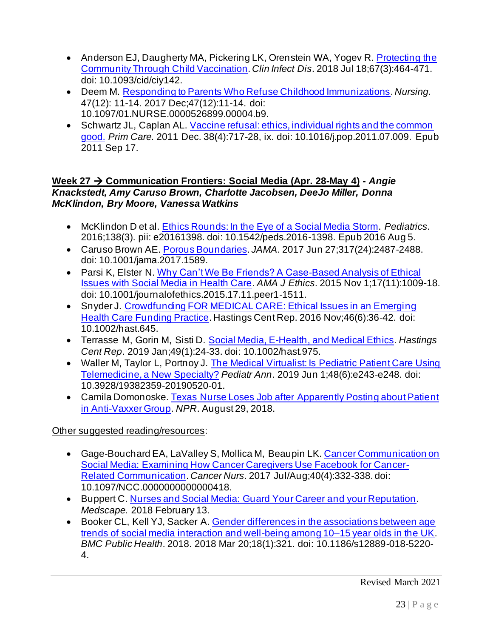- Anderson EJ, Daugherty MA, Pickering LK, Orenstein WA, Yogev R. Protecting the Community Through Child Vaccination. *Clin Infect Dis*. 2018 Jul 18;67(3):464-471. doi: 10.1093/cid/ciy142.
- Deem M. Responding to Parents Who Refuse Childhood Immunizations. *Nursing.* 47(12): 11-14. 2017 Dec;47(12):11-14. doi: 10.1097/01.NURSE.0000526899.00004.b9.
- Schwartz JL, Caplan AL. Vaccine refusal: ethics, individual rights and the common good. *Prim Care.* 2011 Dec. 38(4):717-28, ix. doi: 10.1016/j.pop.2011.07.009. Epub 2011 Sep 17.

### **Week 27** → **Communication Frontiers: Social Media (Apr. 28-May 4) -** *Angie Knackstedt, Amy Caruso Brown, Charlotte Jacobsen, DeeJo Miller, Donna McKlindon, Bry Moore, Vanessa Watkins*

- McKlindon D et al. Ethics Rounds: In the Eye of a Social Media Storm. *Pediatrics*. 2016;138(3). pii: e20161398. doi: 10.1542/peds.2016-1398. Epub 2016 Aug 5.
- Caruso Brown AE. Porous Boundaries. *JAMA*. 2017 Jun 27;317(24):2487-2488. doi: 10.1001/jama.2017.1589.
- Parsi K, Elster N. Why Can't We Be Friends? A Case-Based Analysis of Ethical Issues with Social Media in Health Care. *AMA J Ethics*. 2015 Nov 1;17(11):1009-18. doi: 10.1001/journalofethics.2015.17.11.peer1-1511.
- Snyder J. Crowdfunding FOR MEDICAL CARE: Ethical Issues in an Emerging Health Care Funding Practice. Hastings Cent Rep. 2016 Nov;46(6):36-42. doi: 10.1002/hast.645.
- Terrasse M, Gorin M, Sisti D. Social Media, E-Health, and Medical Ethics. *Hastings Cent Rep*. 2019 Jan;49(1):24-33. doi: 10.1002/hast.975.
- Waller M, Taylor L, Portnoy J. The Medical Virtualist: Is Pediatric Patient Care Using Telemedicine, a New Specialty? *Pediatr Ann*. 2019 Jun 1;48(6):e243-e248. doi: 10.3928/19382359-20190520-01.
- Camila Domonoske. Texas Nurse Loses Job after Apparently Posting about Patient in Anti-Vaxxer Group. *NPR*. August 29, 2018.

# Other suggested reading/resources:

- Gage-Bouchard EA, LaValley S, Mollica M, Beaupin LK. Cancer Communication on Social Media: Examining How Cancer Caregivers Use Facebook for Cancer-Related Communication. *Cancer Nurs*. 2017 Jul/Aug;40(4):332-338. doi: 10.1097/NCC.0000000000000418.
- Buppert C. Nurses and Social Media: Guard Your Career and your Reputation. *Medscape.* 2018 February 13.
- Booker CL, Kell YJ, Sacker A. Gender differences in the associations between age trends of social media interaction and well-being among 10–15 year olds in the UK. *BMC Public Health*. 2018. 2018 Mar 20;18(1):321. doi: 10.1186/s12889-018-5220- 4.